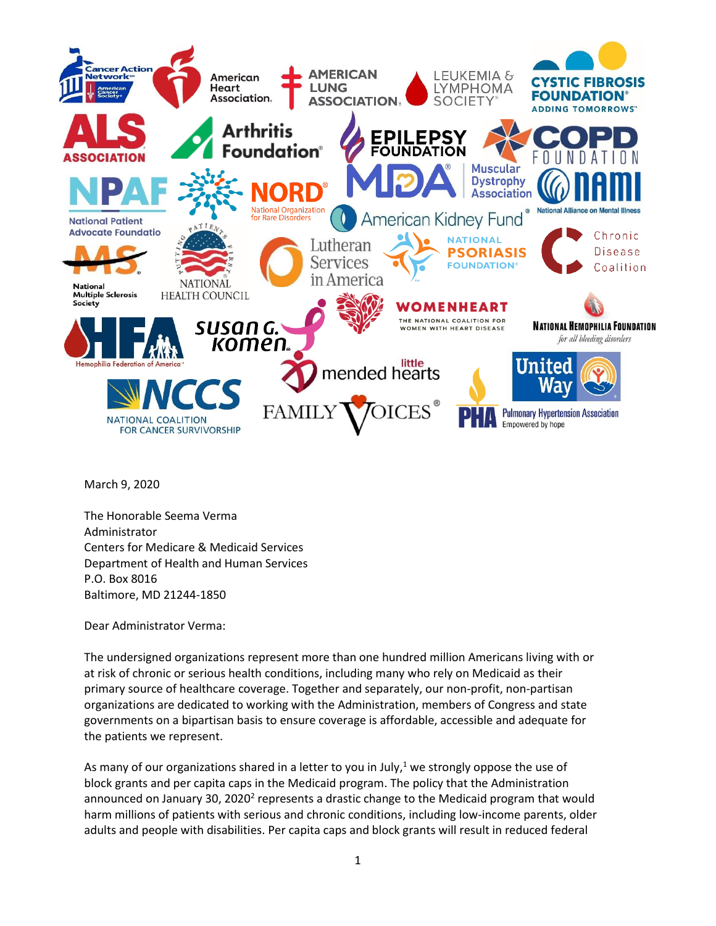

March 9, 2020

The Honorable Seema Verma Administrator Centers for Medicare & Medicaid Services Department of Health and Human Services P.O. Box 8016 Baltimore, MD 21244-1850

Dear Administrator Verma:

The undersigned organizations represent more than one hundred million Americans living with or at risk of chronic or serious health conditions, including many who rely on Medicaid as their primary source of healthcare coverage. Together and separately, our non-profit, non-partisan organizations are dedicated to working with the Administration, members of Congress and state governments on a bipartisan basis to ensure coverage is affordable, accessible and adequate for the patients we represent.

As many of our organizations shared in a letter to you in July,<sup>1</sup> we strongly oppose the use of block grants and per capita caps in the Medicaid program. The policy that the Administration announced on January 30, 2020<sup>2</sup> represents a drastic change to the Medicaid program that would harm millions of patients with serious and chronic conditions, including low-income parents, older adults and people with disabilities. Per capita caps and block grants will result in reduced federal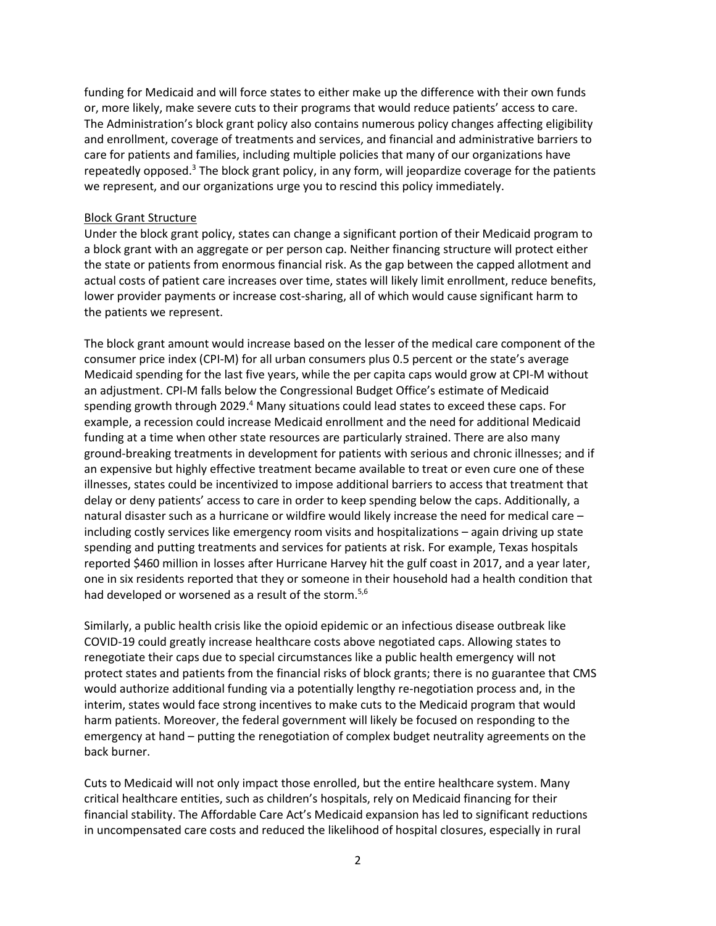funding for Medicaid and will force states to either make up the difference with their own funds or, more likely, make severe cuts to their programs that would reduce patients' access to care. The Administration's block grant policy also contains numerous policy changes affecting eligibility and enrollment, coverage of treatments and services, and financial and administrative barriers to care for patients and families, including multiple policies that many of our organizations have repeatedly opposed.<sup>3</sup> The block grant policy, in any form, will jeopardize coverage for the patients we represent, and our organizations urge you to rescind this policy immediately.

### Block Grant Structure

Under the block grant policy, states can change a significant portion of their Medicaid program to a block grant with an aggregate or per person cap. Neither financing structure will protect either the state or patients from enormous financial risk. As the gap between the capped allotment and actual costs of patient care increases over time, states will likely limit enrollment, reduce benefits, lower provider payments or increase cost-sharing, all of which would cause significant harm to the patients we represent.

The block grant amount would increase based on the lesser of the medical care component of the consumer price index (CPI-M) for all urban consumers plus 0.5 percent or the state's average Medicaid spending for the last five years, while the per capita caps would grow at CPI-M without an adjustment. CPI-M falls below the Congressional Budget Office's estimate of Medicaid spending growth through 2029.<sup>4</sup> Many situations could lead states to exceed these caps. For example, a recession could increase Medicaid enrollment and the need for additional Medicaid funding at a time when other state resources are particularly strained. There are also many ground-breaking treatments in development for patients with serious and chronic illnesses; and if an expensive but highly effective treatment became available to treat or even cure one of these illnesses, states could be incentivized to impose additional barriers to access that treatment that delay or deny patients' access to care in order to keep spending below the caps. Additionally, a natural disaster such as a hurricane or wildfire would likely increase the need for medical care – including costly services like emergency room visits and hospitalizations – again driving up state spending and putting treatments and services for patients at risk. For example, Texas hospitals reported \$460 million in losses after Hurricane Harvey hit the gulf coast in 2017, and a year later, one in six residents reported that they or someone in their household had a health condition that had developed or worsened as a result of the storm.<sup>5,6</sup>

Similarly, a public health crisis like the opioid epidemic or an infectious disease outbreak like COVID-19 could greatly increase healthcare costs above negotiated caps. Allowing states to renegotiate their caps due to special circumstances like a public health emergency will not protect states and patients from the financial risks of block grants; there is no guarantee that CMS would authorize additional funding via a potentially lengthy re-negotiation process and, in the interim, states would face strong incentives to make cuts to the Medicaid program that would harm patients. Moreover, the federal government will likely be focused on responding to the emergency at hand – putting the renegotiation of complex budget neutrality agreements on the back burner.

Cuts to Medicaid will not only impact those enrolled, but the entire healthcare system. Many critical healthcare entities, such as children's hospitals, rely on Medicaid financing for their financial stability. The Affordable Care Act's Medicaid expansion has led to significant reductions in uncompensated care costs and reduced the likelihood of hospital closures, especially in rural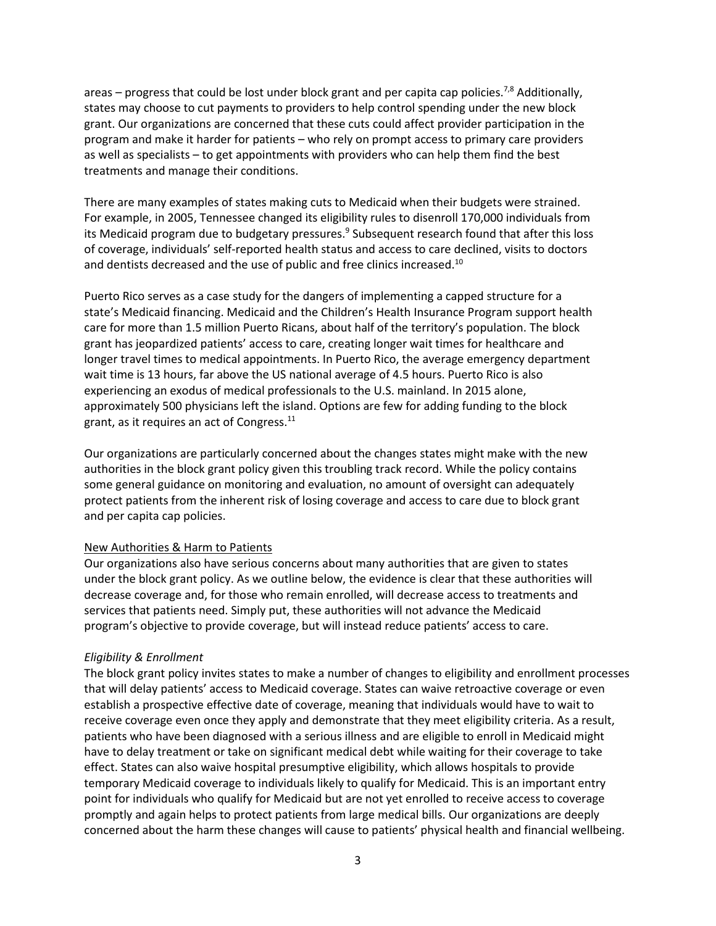areas – progress that could be lost under block grant and per capita cap policies.<sup>7,8</sup> Additionally, states may choose to cut payments to providers to help control spending under the new block grant. Our organizations are concerned that these cuts could affect provider participation in the program and make it harder for patients – who rely on prompt access to primary care providers as well as specialists – to get appointments with providers who can help them find the best treatments and manage their conditions.

There are many examples of states making cuts to Medicaid when their budgets were strained. For example, in 2005, Tennessee changed its eligibility rules to disenroll 170,000 individuals from its Medicaid program due to budgetary pressures.<sup>9</sup> Subsequent research found that after this loss of coverage, individuals' self-reported health status and access to care declined, visits to doctors and dentists decreased and the use of public and free clinics increased.<sup>10</sup>

Puerto Rico serves as a case study for the dangers of implementing a capped structure for a state's Medicaid financing. Medicaid and the Children's Health Insurance Program support health care for more than 1.5 million Puerto Ricans, about half of the territory's population. The block grant has jeopardized patients' access to care, creating longer wait times for healthcare and longer travel times to medical appointments. In Puerto Rico, the average emergency department wait time is 13 hours, far above the US national average of 4.5 hours. Puerto Rico is also experiencing an exodus of medical professionals to the U.S. mainland. In 2015 alone, approximately 500 physicians left the island. Options are few for adding funding to the block grant, as it requires an act of Congress.<sup>11</sup>

Our organizations are particularly concerned about the changes states might make with the new authorities in the block grant policy given this troubling track record. While the policy contains some general guidance on monitoring and evaluation, no amount of oversight can adequately protect patients from the inherent risk of losing coverage and access to care due to block grant and per capita cap policies.

### New Authorities & Harm to Patients

Our organizations also have serious concerns about many authorities that are given to states under the block grant policy. As we outline below, the evidence is clear that these authorities will decrease coverage and, for those who remain enrolled, will decrease access to treatments and services that patients need. Simply put, these authorities will not advance the Medicaid program's objective to provide coverage, but will instead reduce patients' access to care.

# *Eligibility & Enrollment*

The block grant policy invites states to make a number of changes to eligibility and enrollment processes that will delay patients' access to Medicaid coverage. States can waive retroactive coverage or even establish a prospective effective date of coverage, meaning that individuals would have to wait to receive coverage even once they apply and demonstrate that they meet eligibility criteria. As a result, patients who have been diagnosed with a serious illness and are eligible to enroll in Medicaid might have to delay treatment or take on significant medical debt while waiting for their coverage to take effect. States can also waive hospital presumptive eligibility, which allows hospitals to provide temporary Medicaid coverage to individuals likely to qualify for Medicaid. This is an important entry point for individuals who qualify for Medicaid but are not yet enrolled to receive access to coverage promptly and again helps to protect patients from large medical bills. Our organizations are deeply concerned about the harm these changes will cause to patients' physical health and financial wellbeing.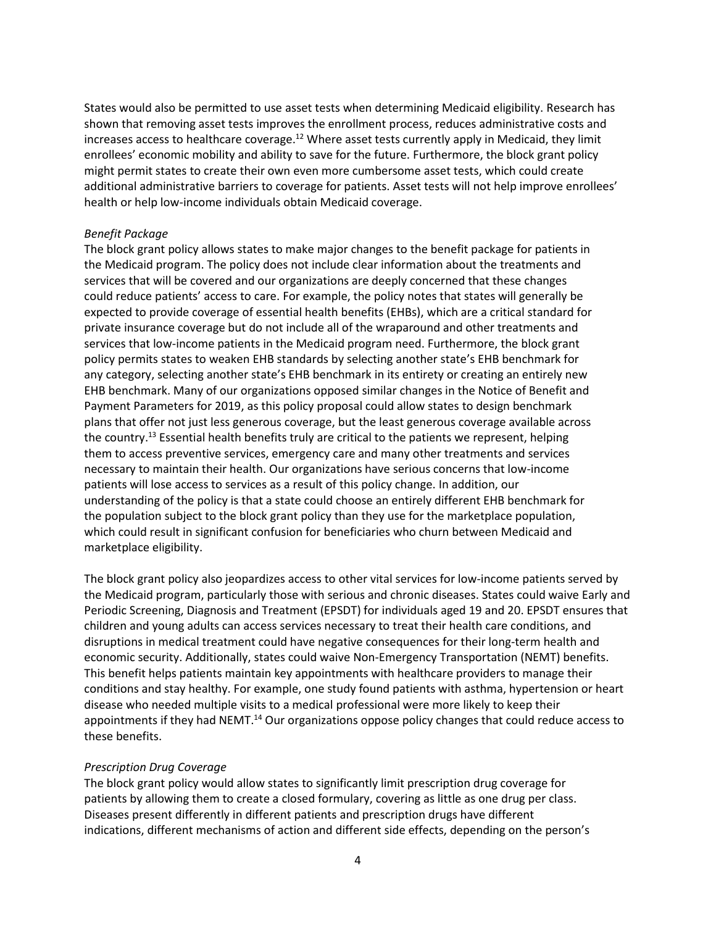States would also be permitted to use asset tests when determining Medicaid eligibility. Research has shown that removing asset tests improves the enrollment process, reduces administrative costs and increases access to healthcare coverage.<sup>12</sup> Where asset tests currently apply in Medicaid, they limit enrollees' economic mobility and ability to save for the future. Furthermore, the block grant policy might permit states to create their own even more cumbersome asset tests, which could create additional administrative barriers to coverage for patients. Asset tests will not help improve enrollees' health or help low-income individuals obtain Medicaid coverage.

### *Benefit Package*

The block grant policy allows states to make major changes to the benefit package for patients in the Medicaid program. The policy does not include clear information about the treatments and services that will be covered and our organizations are deeply concerned that these changes could reduce patients' access to care. For example, the policy notes that states will generally be expected to provide coverage of essential health benefits (EHBs), which are a critical standard for private insurance coverage but do not include all of the wraparound and other treatments and services that low-income patients in the Medicaid program need. Furthermore, the block grant policy permits states to weaken EHB standards by selecting another state's EHB benchmark for any category, selecting another state's EHB benchmark in its entirety or creating an entirely new EHB benchmark. Many of our organizations opposed similar changes in the Notice of Benefit and Payment Parameters for 2019, as this policy proposal could allow states to design benchmark plans that offer not just less generous coverage, but the least generous coverage available across the country.<sup>13</sup> Essential health benefits truly are critical to the patients we represent, helping them to access preventive services, emergency care and many other treatments and services necessary to maintain their health. Our organizations have serious concerns that low-income patients will lose access to services as a result of this policy change. In addition, our understanding of the policy is that a state could choose an entirely different EHB benchmark for the population subject to the block grant policy than they use for the marketplace population, which could result in significant confusion for beneficiaries who churn between Medicaid and marketplace eligibility.

The block grant policy also jeopardizes access to other vital services for low-income patients served by the Medicaid program, particularly those with serious and chronic diseases. States could waive Early and Periodic Screening, Diagnosis and Treatment (EPSDT) for individuals aged 19 and 20. EPSDT ensures that children and young adults can access services necessary to treat their health care conditions, and disruptions in medical treatment could have negative consequences for their long-term health and economic security. Additionally, states could waive Non-Emergency Transportation (NEMT) benefits. This benefit helps patients maintain key appointments with healthcare providers to manage their conditions and stay healthy. For example, one study found patients with asthma, hypertension or heart disease who needed multiple visits to a medical professional were more likely to keep their appointments if they had NEMT.<sup>14</sup> Our organizations oppose policy changes that could reduce access to these benefits.

# *Prescription Drug Coverage*

The block grant policy would allow states to significantly limit prescription drug coverage for patients by allowing them to create a closed formulary, covering as little as one drug per class. Diseases present differently in different patients and prescription drugs have different indications, different mechanisms of action and different side effects, depending on the person's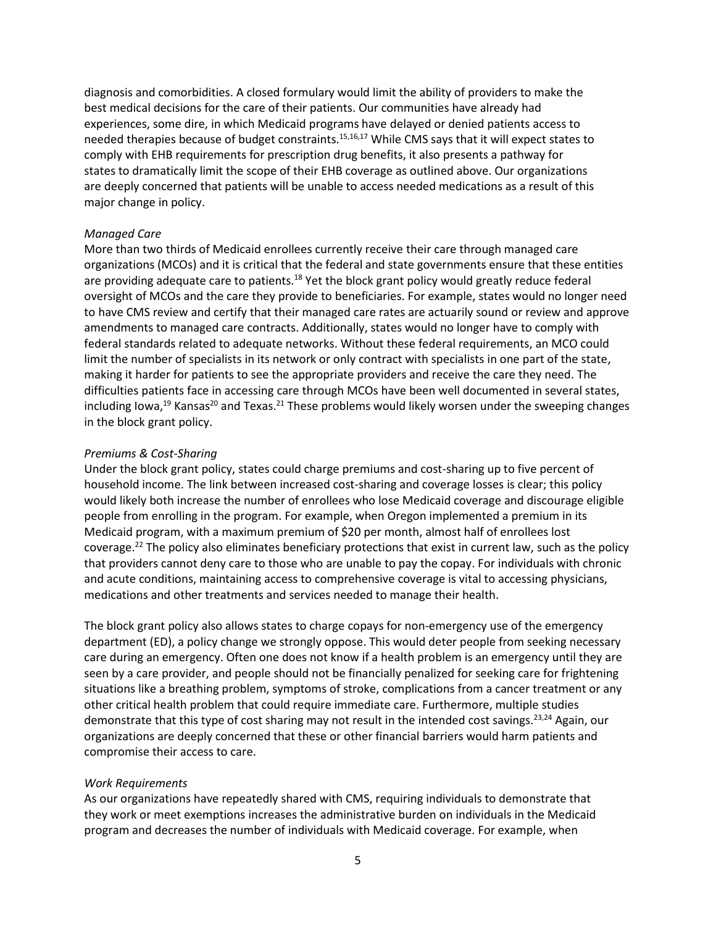diagnosis and comorbidities. A closed formulary would limit the ability of providers to make the best medical decisions for the care of their patients. Our communities have already had experiences, some dire, in which Medicaid programs have delayed or denied patients access to needed therapies because of budget constraints.<sup>15,16,17</sup> While CMS says that it will expect states to comply with EHB requirements for prescription drug benefits, it also presents a pathway for states to dramatically limit the scope of their EHB coverage as outlined above. Our organizations are deeply concerned that patients will be unable to access needed medications as a result of this major change in policy.

### *Managed Care*

More than two thirds of Medicaid enrollees currently receive their care through managed care organizations (MCOs) and it is critical that the federal and state governments ensure that these entities are providing adequate care to patients.<sup>18</sup> Yet the block grant policy would greatly reduce federal oversight of MCOs and the care they provide to beneficiaries. For example, states would no longer need to have CMS review and certify that their managed care rates are actuarily sound or review and approve amendments to managed care contracts. Additionally, states would no longer have to comply with federal standards related to adequate networks. Without these federal requirements, an MCO could limit the number of specialists in its network or only contract with specialists in one part of the state, making it harder for patients to see the appropriate providers and receive the care they need. The difficulties patients face in accessing care through MCOs have been well documented in several states, including Iowa, $19$  Kansas<sup>20</sup> and Texas.<sup>21</sup> These problems would likely worsen under the sweeping changes in the block grant policy.

#### *Premiums & Cost-Sharing*

Under the block grant policy, states could charge premiums and cost-sharing up to five percent of household income. The link between increased cost-sharing and coverage losses is clear; this policy would likely both increase the number of enrollees who lose Medicaid coverage and discourage eligible people from enrolling in the program. For example, when Oregon implemented a premium in its Medicaid program, with a maximum premium of \$20 per month, almost half of enrollees lost coverage.<sup>22</sup> The policy also eliminates beneficiary protections that exist in current law, such as the policy that providers cannot deny care to those who are unable to pay the copay. For individuals with chronic and acute conditions, maintaining access to comprehensive coverage is vital to accessing physicians, medications and other treatments and services needed to manage their health.

The block grant policy also allows states to charge copays for non-emergency use of the emergency department (ED), a policy change we strongly oppose. This would deter people from seeking necessary care during an emergency. Often one does not know if a health problem is an emergency until they are seen by a care provider, and people should not be financially penalized for seeking care for frightening situations like a breathing problem, symptoms of stroke, complications from a cancer treatment or any other critical health problem that could require immediate care. Furthermore, multiple studies demonstrate that this type of cost sharing may not result in the intended cost savings.<sup>23,24</sup> Again, our organizations are deeply concerned that these or other financial barriers would harm patients and compromise their access to care.

### *Work Requirements*

As our organizations have repeatedly shared with CMS, requiring individuals to demonstrate that they work or meet exemptions increases the administrative burden on individuals in the Medicaid program and decreases the number of individuals with Medicaid coverage. For example, when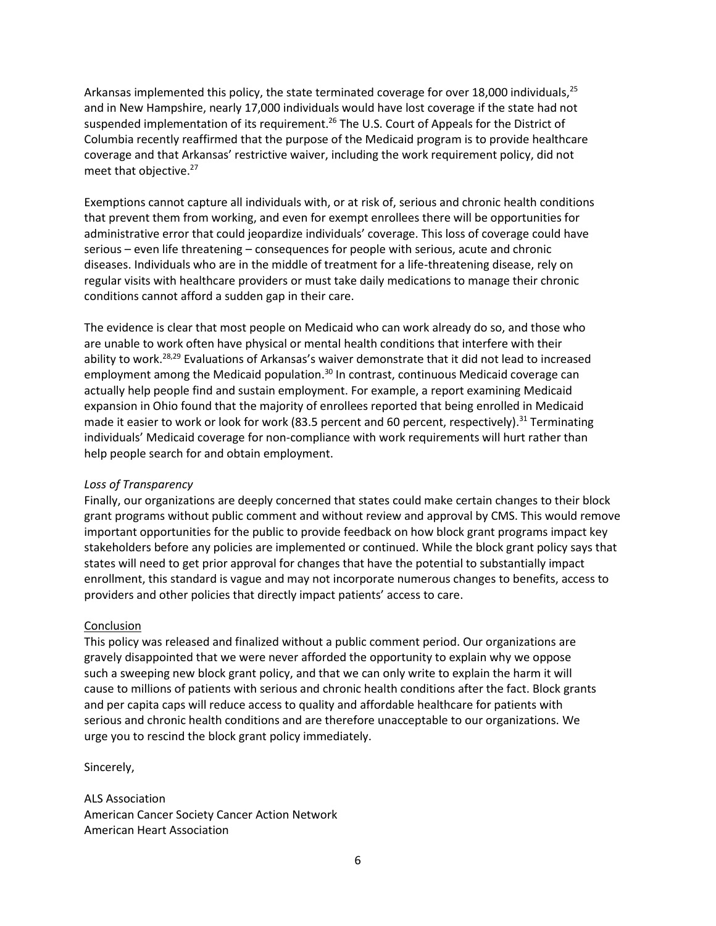Arkansas implemented this policy, the state terminated coverage for over 18,000 individuals,<sup>25</sup> and in New Hampshire, nearly 17,000 individuals would have lost coverage if the state had not suspended implementation of its requirement.<sup>26</sup> The U.S. Court of Appeals for the District of Columbia recently reaffirmed that the purpose of the Medicaid program is to provide healthcare coverage and that Arkansas' restrictive waiver, including the work requirement policy, did not meet that objective.<sup>27</sup>

Exemptions cannot capture all individuals with, or at risk of, serious and chronic health conditions that prevent them from working, and even for exempt enrollees there will be opportunities for administrative error that could jeopardize individuals' coverage. This loss of coverage could have serious – even life threatening – consequences for people with serious, acute and chronic diseases. Individuals who are in the middle of treatment for a life-threatening disease, rely on regular visits with healthcare providers or must take daily medications to manage their chronic conditions cannot afford a sudden gap in their care.

The evidence is clear that most people on Medicaid who can work already do so, and those who are unable to work often have physical or mental health conditions that interfere with their ability to work.<sup>28,29</sup> Evaluations of Arkansas's waiver demonstrate that it did not lead to increased employment among the Medicaid population.<sup>30</sup> In contrast, continuous Medicaid coverage can actually help people find and sustain employment. For example, a report examining Medicaid expansion in Ohio found that the majority of enrollees reported that being enrolled in Medicaid made it easier to work or look for work (83.5 percent and 60 percent, respectively).<sup>31</sup> Terminating individuals' Medicaid coverage for non-compliance with work requirements will hurt rather than help people search for and obtain employment.

# *Loss of Transparency*

Finally, our organizations are deeply concerned that states could make certain changes to their block grant programs without public comment and without review and approval by CMS. This would remove important opportunities for the public to provide feedback on how block grant programs impact key stakeholders before any policies are implemented or continued. While the block grant policy says that states will need to get prior approval for changes that have the potential to substantially impact enrollment, this standard is vague and may not incorporate numerous changes to benefits, access to providers and other policies that directly impact patients' access to care.

# **Conclusion**

This policy was released and finalized without a public comment period. Our organizations are gravely disappointed that we were never afforded the opportunity to explain why we oppose such a sweeping new block grant policy, and that we can only write to explain the harm it will cause to millions of patients with serious and chronic health conditions after the fact. Block grants and per capita caps will reduce access to quality and affordable healthcare for patients with serious and chronic health conditions and are therefore unacceptable to our organizations. We urge you to rescind the block grant policy immediately.

Sincerely,

ALS Association American Cancer Society Cancer Action Network American Heart Association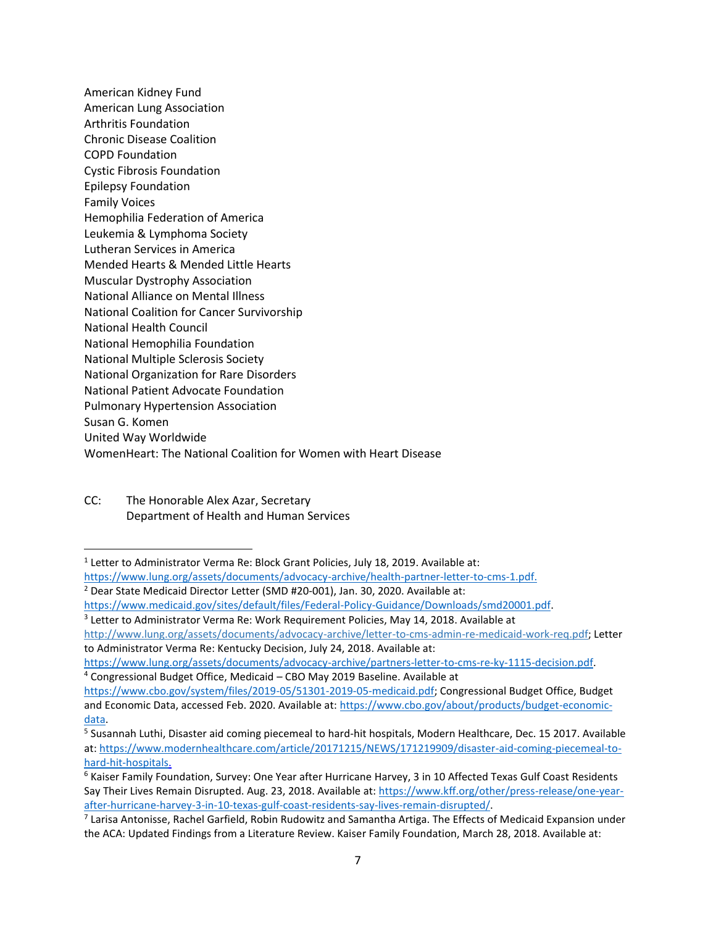American Kidney Fund American Lung Association Arthritis Foundation Chronic Disease Coalition COPD Foundation Cystic Fibrosis Foundation Epilepsy Foundation Family Voices Hemophilia Federation of America Leukemia & Lymphoma Society Lutheran Services in America Mended Hearts & Mended Little Hearts Muscular Dystrophy Association National Alliance on Mental Illness National Coalition for Cancer Survivorship National Health Council National Hemophilia Foundation National Multiple Sclerosis Society National Organization for Rare Disorders National Patient Advocate Foundation Pulmonary Hypertension Association Susan G. Komen United Way Worldwide WomenHeart: The National Coalition for Women with Heart Disease

CC: The Honorable Alex Azar, Secretary Department of Health and Human Services

<sup>2</sup> Dear State Medicaid Director Letter (SMD #20-001), Jan. 30, 2020. Available at:

<sup>&</sup>lt;sup>1</sup> Letter to Administrator Verma Re: Block Grant Policies, July 18, 2019. Available at:

[https://www.lung.org/assets/documents/advocacy-archive/health-partner-letter-to-cms-1.pdf.](https://www.lung.org/assets/documents/advocacy-archive/health-partner-letter-to-cms-1.pdf)

[https://www.medicaid.gov/sites/default/files/Federal-Policy-Guidance/Downloads/smd20001.pdf.](https://www.medicaid.gov/sites/default/files/Federal-Policy-Guidance/Downloads/smd20001.pdf)

<sup>&</sup>lt;sup>3</sup> Letter to Administrator Verma Re: Work Requirement Policies, May 14, 2018. Available at

[http://www.lung.org/assets/documents/advocacy-archive/letter-to-cms-admin-re-medicaid-work-req.pdf;](http://www.lung.org/assets/documents/advocacy-archive/letter-to-cms-admin-re-medicaid-work-req.pdf) Letter to Administrator Verma Re: Kentucky Decision, July 24, 2018. Available at:

[https://www.lung.org/assets/documents/advocacy-archive/partners-letter-to-cms-re-ky-1115-decision.pdf.](https://www.lung.org/assets/documents/advocacy-archive/partners-letter-to-cms-re-ky-1115-decision.pdf)  <sup>4</sup> Congressional Budget Office, Medicaid – CBO May 2019 Baseline. Available at

[https://www.cbo.gov/system/files/2019-05/51301-2019-05-medicaid.pdf;](https://www.cbo.gov/system/files/2019-05/51301-2019-05-medicaid.pdf) Congressional Budget Office, Budget and Economic Data, accessed Feb. 2020. Available at[: https://www.cbo.gov/about/products/budget-economic](https://www.cbo.gov/about/products/budget-economic-data)[data.](https://www.cbo.gov/about/products/budget-economic-data)

<sup>&</sup>lt;sup>5</sup> Susannah Luthi, Disaster aid coming piecemeal to hard-hit hospitals, Modern Healthcare, Dec. 15 2017. Available at: [https://www.modernhealthcare.com/article/20171215/NEWS/171219909/disaster-aid-coming-piecemeal-to](https://www.modernhealthcare.com/article/20171215/NEWS/171219909/disaster-aid-coming-piecemeal-to-hard-hit-hospitals)[hard-hit-hospitals.](https://www.modernhealthcare.com/article/20171215/NEWS/171219909/disaster-aid-coming-piecemeal-to-hard-hit-hospitals)

<sup>6</sup> Kaiser Family Foundation, Survey: One Year after Hurricane Harvey, 3 in 10 Affected Texas Gulf Coast Residents Say Their Lives Remain Disrupted. Aug. 23, 2018. Available at: [https://www.kff.org/other/press-release/one-year](https://www.kff.org/other/press-release/one-year-after-hurricane-harvey-3-in-10-texas-gulf-coast-residents-say-lives-remain-disrupted/)[after-hurricane-harvey-3-in-10-texas-gulf-coast-residents-say-lives-remain-disrupted/.](https://www.kff.org/other/press-release/one-year-after-hurricane-harvey-3-in-10-texas-gulf-coast-residents-say-lives-remain-disrupted/) 

<sup>&</sup>lt;sup>7</sup> Larisa Antonisse, Rachel Garfield, Robin Rudowitz and Samantha Artiga. The Effects of Medicaid Expansion under the ACA: Updated Findings from a Literature Review. Kaiser Family Foundation, March 28, 2018. Available at: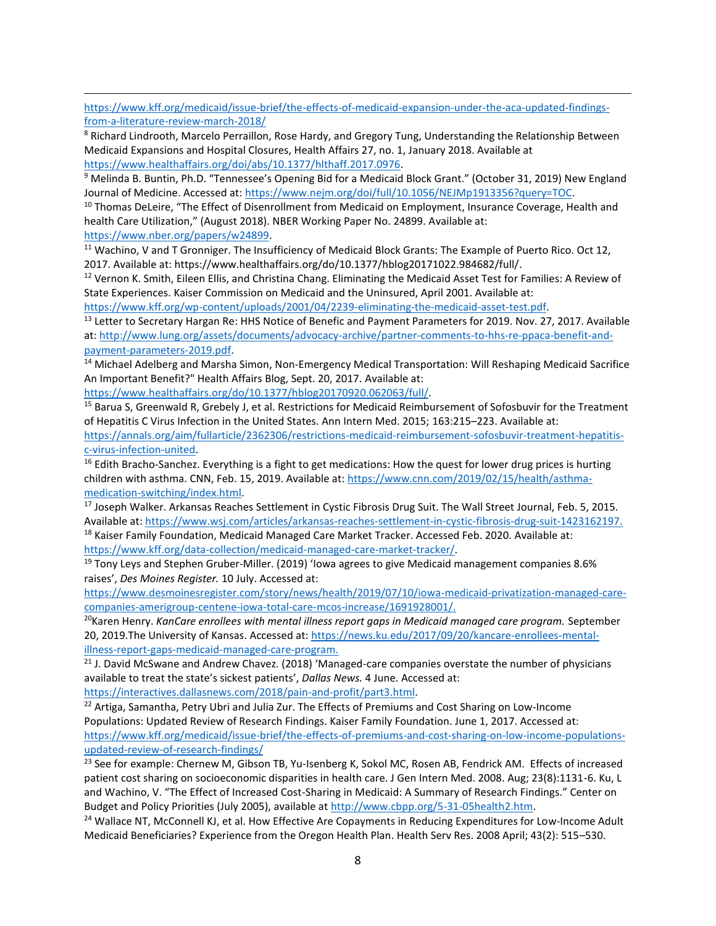[https://www.kff.org/medicaid/issue-brief/the-effects-of-medicaid-expansion-under-the-aca-updated-findings](https://www.kff.org/medicaid/issue-brief/the-effects-of-medicaid-expansion-under-the-aca-updated-findings-from-a-literature-review-march-2018/)[from-a-literature-review-march-2018/](https://www.kff.org/medicaid/issue-brief/the-effects-of-medicaid-expansion-under-the-aca-updated-findings-from-a-literature-review-march-2018/)

<sup>8</sup> Richard Lindrooth, Marcelo Perraillon, Rose Hardy, and Gregory Tung, Understanding the Relationship Between Medicaid Expansions and Hospital Closures, Health Affairs 27, no. 1, January 2018. Available at [https://www.healthaffairs.org/doi/abs/10.1377/hlthaff.2017.0976.](https://www.healthaffairs.org/doi/abs/10.1377/hlthaff.2017.0976)

<sup>9</sup> Melinda B. Buntin, Ph.D. "Tennessee's Opening Bid for a Medicaid Block Grant." (October 31, 2019) New England Journal of Medicine. Accessed at[: https://www.nejm.org/doi/full/10.1056/NEJMp1913356?query=TOC.](https://www.nejm.org/doi/full/10.1056/NEJMp1913356?query=TOC)

<sup>10</sup> Thomas DeLeire, "The Effect of Disenrollment from Medicaid on Employment, Insurance Coverage, Health and health Care Utilization," (August 2018). NBER Working Paper No. 24899. Available at: [https://www.nber.org/papers/w24899.](https://www.nber.org/papers/w24899)

<sup>11</sup> Wachino, V and T Gronniger. The Insufficiency of Medicaid Block Grants: The Example of Puerto Rico. Oct 12, 2017. Available at: https://www.healthaffairs.org/do/10.1377/hblog20171022.984682/full/.

<sup>12</sup> Vernon K. Smith, Eileen Ellis, and Christina Chang. Eliminating the Medicaid Asset Test for Families: A Review of State Experiences. Kaiser Commission on Medicaid and the Uninsured, April 2001. Available at:

[https://www.kff.org/wp-content/uploads/2001/04/2239-eliminating-the-medicaid-asset-test.pdf.](https://www.kff.org/wp-content/uploads/2001/04/2239-eliminating-the-medicaid-asset-test.pdf)

<sup>13</sup> Letter to Secretary Hargan Re: HHS Notice of Benefic and Payment Parameters for 2019. Nov. 27, 2017. Available at: [http://www.lung.org/assets/documents/advocacy-archive/partner-comments-to-hhs-re-ppaca-benefit-and](http://www.lung.org/assets/documents/advocacy-archive/partner-comments-to-hhs-re-ppaca-benefit-and-payment-parameters-2019.pdf)[payment-parameters-2019.pdf.](http://www.lung.org/assets/documents/advocacy-archive/partner-comments-to-hhs-re-ppaca-benefit-and-payment-parameters-2019.pdf)

<sup>14</sup> Michael Adelberg and Marsha Simon, Non-Emergency Medical Transportation: Will Reshaping Medicaid Sacrifice An Important Benefit?" Health Affairs Blog, Sept. 20, 2017. Available at:

[https://www.healthaffairs.org/do/10.1377/hblog20170920.062063/full/.](https://www.healthaffairs.org/do/10.1377/hblog20170920.062063/full/)

<sup>15</sup> Barua S, Greenwald R, Grebely J, et al. Restrictions for Medicaid Reimbursement of Sofosbuvir for the Treatment of Hepatitis C Virus Infection in the United States. Ann Intern Med. 2015; 163:215–223. Available at:

[https://annals.org/aim/fullarticle/2362306/restrictions-medicaid-reimbursement-sofosbuvir-treatment-hepatitis](https://annals.org/aim/fullarticle/2362306/restrictions-medicaid-reimbursement-sofosbuvir-treatment-hepatitis-c-virus-infection-united)[c-virus-infection-united.](https://annals.org/aim/fullarticle/2362306/restrictions-medicaid-reimbursement-sofosbuvir-treatment-hepatitis-c-virus-infection-united)

<sup>16</sup> Edith Bracho-Sanchez. Everything is a fight to get medications: How the quest for lower drug prices is hurting children with asthma. CNN, Feb. 15, 2019. Available at: [https://www.cnn.com/2019/02/15/health/asthma](https://www.cnn.com/2019/02/15/health/asthma-medication-switching/index.html)[medication-switching/index.html.](https://www.cnn.com/2019/02/15/health/asthma-medication-switching/index.html)

<sup>17</sup> Joseph Walker. Arkansas Reaches Settlement in Cystic Fibrosis Drug Suit. The Wall Street Journal, Feb. 5, 2015. Available at[: https://www.wsj.com/articles/arkansas-reaches-settlement-in-cystic-fibrosis-drug-suit-1423162197.](https://www.wsj.com/articles/arkansas-reaches-settlement-in-cystic-fibrosis-drug-suit-1423162197) <sup>18</sup> Kaiser Family Foundation, Medicaid Managed Care Market Tracker. Accessed Feb. 2020. Available at: [https://www.kff.org/data-collection/medicaid-managed-care-market-tracker/.](https://www.kff.org/data-collection/medicaid-managed-care-market-tracker/)

<sup>19</sup> Tony Leys and Stephen Gruber-Miller. (2019) 'Iowa agrees to give Medicaid management companies 8.6% raises', *Des Moines Register.* 10 July. Accessed at:

[https://www.desmoinesregister.com/story/news/health/2019/07/10/iowa-medicaid-privatization-managed-care](https://www.desmoinesregister.com/story/news/health/2019/07/10/iowa-medicaid-privatization-managed-care-companies-amerigroup-centene-iowa-total-care-mcos-increase/1691928001/)[companies-amerigroup-centene-iowa-total-care-mcos-increase/1691928001/.](https://www.desmoinesregister.com/story/news/health/2019/07/10/iowa-medicaid-privatization-managed-care-companies-amerigroup-centene-iowa-total-care-mcos-increase/1691928001/)

<sup>20</sup>Karen Henry. *KanCare enrollees with mental illness report gaps in Medicaid managed care program. September* 20, 2019. The University of Kansas. Accessed at: [https://news.ku.edu/2017/09/20/kancare-enrollees-mental](https://news.ku.edu/2017/09/20/kancare-enrollees-mental-illness-report-gaps-medicaid-managed-care-program)[illness-report-gaps-medicaid-managed-care-program.](https://news.ku.edu/2017/09/20/kancare-enrollees-mental-illness-report-gaps-medicaid-managed-care-program)

 $21$  J. David McSwane and Andrew Chavez. (2018) 'Managed-care companies overstate the number of physicians available to treat the state's sickest patients', *Dallas News.* 4 June. Accessed at:

[https://interactives.dallasnews.com/2018/pain-and-profit/part3.html.](https://interactives.dallasnews.com/2018/pain-and-profit/part3.html)

<sup>22</sup> Artiga, Samantha, Petry Ubri and Julia Zur. The Effects of Premiums and Cost Sharing on Low-Income Populations: Updated Review of Research Findings. Kaiser Family Foundation. June 1, 2017. Accessed at: [https://www.kff.org/medicaid/issue-brief/the-effects-of-premiums-and-cost-sharing-on-low-income-populations](https://www.kff.org/medicaid/issue-brief/the-effects-of-premiums-and-cost-sharing-on-low-income-populations-updated-review-of-research-findings/)[updated-review-of-research-findings/](https://www.kff.org/medicaid/issue-brief/the-effects-of-premiums-and-cost-sharing-on-low-income-populations-updated-review-of-research-findings/)

<sup>23</sup> See for example: Chernew M, Gibson TB, Yu-Isenberg K, Sokol MC, Rosen AB, Fendrick AM. Effects of increased patient cost sharing on socioeconomic disparities in health care. J Gen Intern Med. 2008. Aug; 23(8):1131-6. Ku, L and Wachino, V. "The Effect of Increased Cost-Sharing in Medicaid: A Summary of Research Findings." Center on Budget and Policy Priorities (July 2005), available at [http://www.cbpp.org/5-31-05health2.htm.](http://www.cbpp.org/5-31-05health2.htm)

<sup>24</sup> Wallace NT, McConnell KJ, et al. How Effective Are Copayments in Reducing Expenditures for Low-Income Adult Medicaid Beneficiaries? Experience from the Oregon Health Plan. Health Serv Res. 2008 April; 43(2): 515–530.